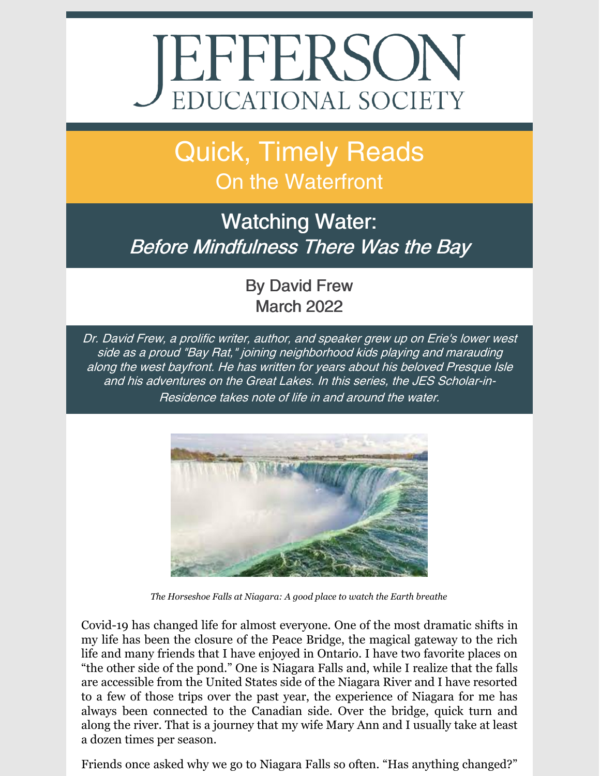## EPPERSON

Quick, Timely Reads On the Waterfront

## Watching Water: Before Mindfulness There Was the Bay

By David Frew March 2022

Dr. David Frew, <sup>a</sup> prolific writer, author, and speaker grew up on Erie's lower west side as <sup>a</sup> proud "Bay Rat," joining neighborhood kids playing and marauding along the west bayfront. He has written for years about his beloved Presque Isle and his adventures on the Great Lakes. In this series, the JES Scholar-in-Residence takes note of life in and around the water.



*The Horseshoe Falls at Niagara: A good place to watch the Earth breathe*

Covid-19 has changed life for almost everyone. One of the most dramatic shifts in my life has been the closure of the Peace Bridge, the magical gateway to the rich life and many friends that I have enjoyed in Ontario. I have two favorite places on "the other side of the pond." One is Niagara Falls and, while I realize that the falls are accessible from the United States side of the Niagara River and I have resorted to a few of those trips over the past year, the experience of Niagara for me has always been connected to the Canadian side. Over the bridge, quick turn and along the river. That is a journey that my wife Mary Ann and I usually take at least a dozen times per season.

Friends once asked why we go to Niagara Falls so often. "Has anything changed?"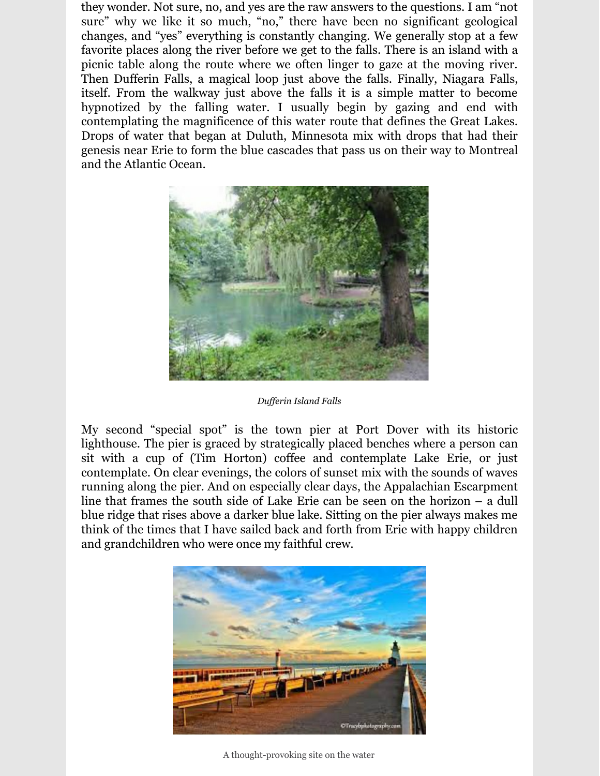they wonder. Not sure, no, and yes are the raw answers to the questions. I am "not sure" why we like it so much, "no," there have been no significant geological changes, and "yes" everything is constantly changing. We generally stop at a few favorite places along the river before we get to the falls. There is an island with a picnic table along the route where we often linger to gaze at the moving river. Then Dufferin Falls, a magical loop just above the falls. Finally, Niagara Falls, itself. From the walkway just above the falls it is a simple matter to become hypnotized by the falling water. I usually begin by gazing and end with contemplating the magnificence of this water route that defines the Great Lakes. Drops of water that began at Duluth, Minnesota mix with drops that had their genesis near Erie to form the blue cascades that pass us on their way to Montreal and the Atlantic Ocean.



*Duf erin Island Falls*

My second "special spot" is the town pier at Port Dover with its historic lighthouse. The pier is graced by strategically placed benches where a person can sit with a cup of (Tim Horton) coffee and contemplate Lake Erie, or just contemplate. On clear evenings, the colors of sunset mix with the sounds of waves running along the pier. And on especially clear days, the Appalachian Escarpment line that frames the south side of Lake Erie can be seen on the horizon – a dull blue ridge that rises above a darker blue lake. Sitting on the pier always makes me think of the times that I have sailed back and forth from Erie with happy children and grandchildren who were once my faithful crew.



A thought-provoking site on the water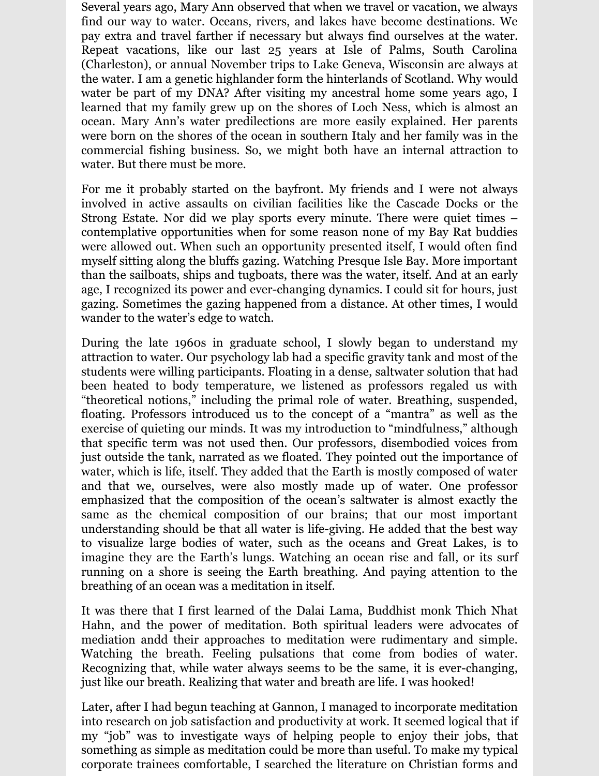Several years ago, Mary Ann observed that when we travel or vacation, we always find our way to water. Oceans, rivers, and lakes have become destinations. We pay extra and travel farther if necessary but always find ourselves at the water. Repeat vacations, like our last 25 years at Isle of Palms, South Carolina (Charleston), or annual November trips to Lake Geneva, Wisconsin are always at the water. I am a genetic highlander form the hinterlands of Scotland. Why would water be part of my DNA? After visiting my ancestral home some years ago, I learned that my family grew up on the shores of Loch Ness, which is almost an ocean. Mary Ann's water predilections are more easily explained. Her parents were born on the shores of the ocean in southern Italy and her family was in the commercial fishing business. So, we might both have an internal attraction to water. But there must be more.

For me it probably started on the bayfront. My friends and I were not always involved in active assaults on civilian facilities like the Cascade Docks or the Strong Estate. Nor did we play sports every minute. There were quiet times – contemplative opportunities when for some reason none of my Bay Rat buddies were allowed out. When such an opportunity presented itself, I would often find myself sitting along the bluffs gazing. Watching Presque Isle Bay. More important than the sailboats, ships and tugboats, there was the water, itself. And at an early age, I recognized its power and ever-changing dynamics. I could sit for hours, just gazing. Sometimes the gazing happened from a distance. At other times, I would wander to the water's edge to watch.

During the late 1960s in graduate school, I slowly began to understand my attraction to water. Our psychology lab had a specific gravity tank and most of the students were willing participants. Floating in a dense, saltwater solution that had been heated to body temperature, we listened as professors regaled us with "theoretical notions," including the primal role of water. Breathing, suspended, floating. Professors introduced us to the concept of a "mantra" as well as the exercise of quieting our minds. It was my introduction to "mindfulness," although that specific term was not used then. Our professors, disembodied voices from just outside the tank, narrated as we floated. They pointed out the importance of water, which is life, itself. They added that the Earth is mostly composed of water and that we, ourselves, were also mostly made up of water. One professor emphasized that the composition of the ocean's saltwater is almost exactly the same as the chemical composition of our brains; that our most important understanding should be that all water is life-giving. He added that the best way to visualize large bodies of water, such as the oceans and Great Lakes, is to imagine they are the Earth's lungs. Watching an ocean rise and fall, or its surf running on a shore is seeing the Earth breathing. And paying attention to the breathing of an ocean was a meditation in itself.

It was there that I first learned of the Dalai Lama, Buddhist monk Thich Nhat Hahn, and the power of meditation. Both spiritual leaders were advocates of mediation andd their approaches to meditation were rudimentary and simple. Watching the breath. Feeling pulsations that come from bodies of water. Recognizing that, while water always seems to be the same, it is ever-changing, just like our breath. Realizing that water and breath are life. I was hooked!

Later, after I had begun teaching at Gannon, I managed to incorporate meditation into research on job satisfaction and productivity at work. It seemed logical that if my "job" was to investigate ways of helping people to enjoy their jobs, that something as simple as meditation could be more than useful. To make my typical corporate trainees comfortable, I searched the literature on Christian forms and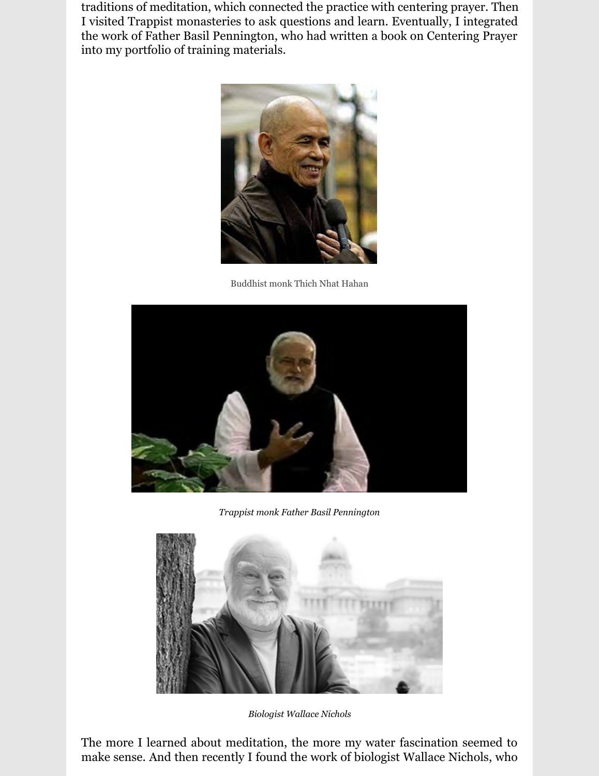traditions of meditation, which connected the practice with centering prayer. Then I visited Trappist monasteries to ask questions and learn. Eventually, I integrated the work of Father Basil Pennington, who had written a book on Centering Prayer into my portfolio of training materials.



Buddhist monk Thich Nhat Hahan



*Trappist monk Father Basil Pennington*



*Biologist Wallace Nichols*

The more I learned about meditation, the more my water fascination seemed to make sense. And then recently I found the work of biologist Wallace Nichols, who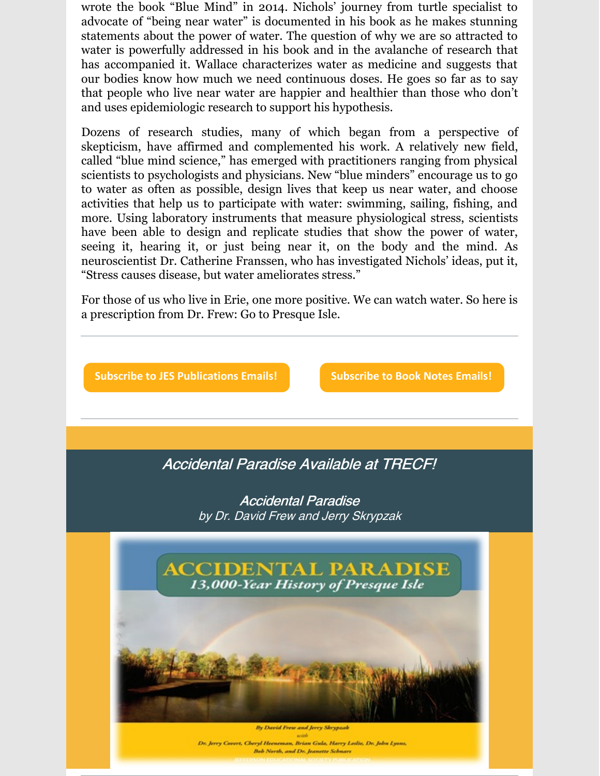wrote the book "Blue Mind" in 2014. Nichols' journey from turtle specialist to advocate of "being near water" is documented in his book as he makes stunning statements about the power of water. The question of why we are so attracted to water is powerfully addressed in his book and in the avalanche of research that has accompanied it. Wallace characterizes water as medicine and suggests that our bodies know how much we need continuous doses. He goes so far as to say that people who live near water are happier and healthier than those who don't and uses epidemiologic research to support his hypothesis.

Dozens of research studies, many of which began from a perspective of skepticism, have affirmed and complemented his work. A relatively new field, called "blue mind science," has emerged with practitioners ranging from physical scientists to psychologists and physicians. New "blue minders" encourage us to go to water as often as possible, design lives that keep us near water, and choose activities that help us to participate with water: swimming, sailing, fishing, and more. Using laboratory instruments that measure physiological stress, scientists have been able to design and replicate studies that show the power of water, seeing it, hearing it, or just being near it, on the body and the mind. As neuroscientist Dr. Catherine Franssen, who has investigated Nichols' ideas, put it, "Stress causes disease, but water ameliorates stress."

For those of us who live in Erie, one more positive. We can watch water. So here is a prescription from Dr. Frew: Go to Presque Isle.



Dr. Jerry Covert, Cheryl Heeneman, Brian Gula, Harry Ledie, Dr. John Lyons Bob North, and Dr. Jeanette Schnars